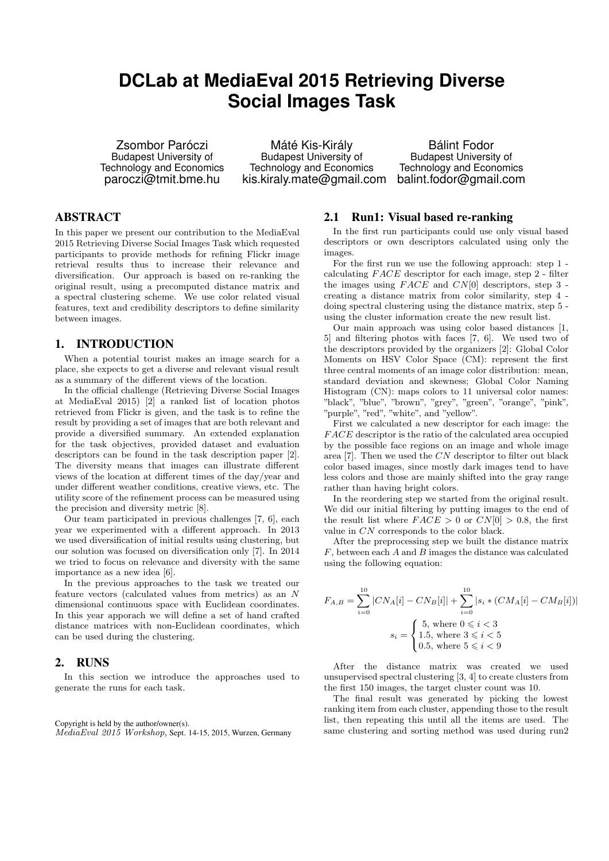# **DCLab at MediaEval 2015 Retrieving Diverse Social Images Task**

Zsombor Paróczi Budapest University of Technology and Economics paroczi@tmit.bme.hu

Máté Kis-Király Budapest University of Technology and Economics kis.kiraly.mate@gmail.com

Bálint Fodor Budapest University of Technology and Economics balint.fodor@gmail.com

## ABSTRACT

In this paper we present our contribution to the MediaEval 2015 Retrieving Diverse Social Images Task which requested participants to provide methods for refining Flickr image retrieval results thus to increase their relevance and diversification. Our approach is based on re-ranking the original result, using a precomputed distance matrix and a spectral clustering scheme. We use color related visual features, text and credibility descriptors to define similarity between images.

#### 1. INTRODUCTION

When a potential tourist makes an image search for a place, she expects to get a diverse and relevant visual result as a summary of the different views of the location.

In the official challenge (Retrieving Diverse Social Images at MediaEval 2015) [2] a ranked list of location photos retrieved from Flickr is given, and the task is to refine the result by providing a set of images that are both relevant and provide a diversified summary. An extended explanation for the task objectives, provided dataset and evaluation descriptors can be found in the task description paper [2]. The diversity means that images can illustrate different views of the location at different times of the day/year and under different weather conditions, creative views, etc. The utility score of the refinement process can be measured using the precision and diversity metric [8].

Our team participated in previous challenges [7, 6], each year we experimented with a different approach. In 2013 we used diversification of initial results using clustering, but our solution was focused on diversification only [7]. In 2014 we tried to focus on relevance and diversity with the same importance as a new idea [6].

In the previous approaches to the task we treated our feature vectors (calculated values from metrics) as an N dimensional continuous space with Euclidean coordinates. In this year apporach we will define a set of hand crafted distance matrices with non-Euclidean coordinates, which can be used during the clustering.

#### 2. RUNS

In this section we introduce the approaches used to generate the runs for each task.

Copyright is held by the author/owner(s). MediaEval 2015 Workshop, Sept. 14-15, 2015, Wurzen, Germany

## 2.1 Run1: Visual based re-ranking

In the first run participants could use only visual based descriptors or own descriptors calculated using only the images.

For the first run we use the following approach: step 1 calculating  $FACE$  descriptor for each image, step  $2$  - filter the images using  $FACE$  and  $CN[0]$  descriptors, step 3 creating a distance matrix from color similarity, step 4 doing spectral clustering using the distance matrix, step 5 using the cluster information create the new result list.

Our main approach was using color based distances [1, 5] and filtering photos with faces [7, 6]. We used two of the descriptors provided by the organizers [2]: Global Color Moments on HSV Color Space (CM): represent the first three central moments of an image color distribution: mean, standard deviation and skewness; Global Color Naming Histogram (CN): maps colors to 11 universal color names: "black", "blue", "brown", "grey", "green", "orange", "pink", "purple", "red", "white", and "yellow".

First we calculated a new descriptor for each image: the FACE descriptor is the ratio of the calculated area occupied by the possible face regions on an image and whole image area [7]. Then we used the CN descriptor to filter out black color based images, since mostly dark images tend to have less colors and those are mainly shifted into the gray range rather than having bright colors.

In the reordering step we started from the original result. We did our initial filtering by putting images to the end of the result list where  $FACE > 0$  or  $CN[0] > 0.8$ , the first value in CN corresponds to the color black.

After the preprocessing step we built the distance matrix  $F$ , between each  $A$  and  $B$  images the distance was calculated using the following equation:

$$
F_{A,B} = \sum_{i=0}^{10} |CN_A[i] - CN_B[i]| + \sum_{i=0}^{10} |s_i * (CM_A[i] - CM_B[i])|
$$
  

$$
s_i = \begin{cases} 5, \text{ where } 0 \le i < 3\\ 1.5, \text{ where } 3 \le i < 5\\ 0.5, \text{ where } 5 \le i < 9 \end{cases}
$$

After the distance matrix was created we used unsupervised spectral clustering [3, 4] to create clusters from the first 150 images, the target cluster count was 10.

The final result was generated by picking the lowest ranking item from each cluster, appending those to the result list, then repeating this until all the items are used. The same clustering and sorting method was used during run2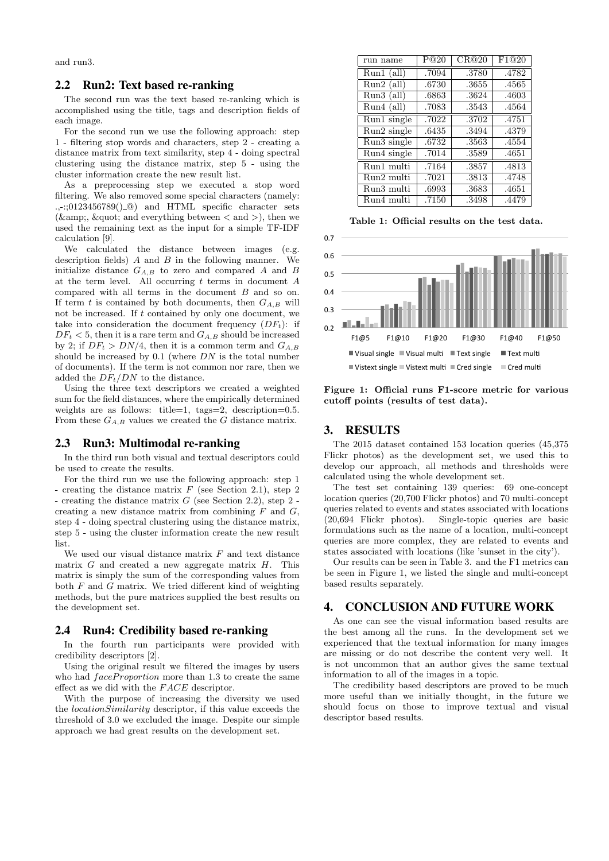and run3.

#### 2.2 Run2: Text based re-ranking

The second run was the text based re-ranking which is accomplished using the title, tags and description fields of each image.

For the second run we use the following approach: step 1 - filtering stop words and characters, step 2 - creating a distance matrix from text similarity, step 4 - doing spectral clustering using the distance matrix, step 5 - using the cluster information create the new result list.

As a preprocessing step we executed a stop word filtering. We also removed some special characters (namely:  $...$ :: $0123456789()$  and HTML specific character sets ( $\&$ ;  $\"$  and everything between  $\∧\&exsmall$ ), then we used the remaining text as the input for a simple TF-IDF calculation [9].

We calculated the distance between images (e.g. description fields)  $A$  and  $B$  in the following manner. We initialize distance  $G_{A,B}$  to zero and compared A and B at the term level. All occurring  $t$  terms in document  $A$ compared with all terms in the document B and so on. If term  $t$  is contained by both documents, then  $G_{A,B}$  will not be increased. If t contained by only one document, we take into consideration the document frequency  $(DF_t)$ : if  $DF_t < 5$ , then it is a rare term and  $G_{A,B}$  should be increased by 2; if  $DF_t > DN/4$ , then it is a common term and  $G_{A,B}$ should be increased by  $0.1$  (where  $DN$  is the total number of documents). If the term is not common nor rare, then we added the  $DF_t/DN$  to the distance.

Using the three text descriptors we created a weighted sum for the field distances, where the empirically determined weights are as follows: title=1, tags=2, description=0.5. From these  $G_{A,B}$  values we created the G distance matrix.

#### 2.3 Run3: Multimodal re-ranking

In the third run both visual and textual descriptors could be used to create the results.

For the third run we use the following approach: step 1 - creating the distance matrix  $F$  (see Section 2.1), step 2 - creating the distance matrix  $G$  (see Section 2.2), step  $2$  creating a new distance matrix from combining  $F$  and  $G$ , step 4 - doing spectral clustering using the distance matrix, step 5 - using the cluster information create the new result list.

We used our visual distance matrix  $F$  and text distance matrix  $G$  and created a new aggregate matrix  $H$ . This matrix is simply the sum of the corresponding values from both  $F$  and  $G$  matrix. We tried different kind of weighting methods, but the pure matrices supplied the best results on the development set.

#### 2.4 Run4: Credibility based re-ranking

In the fourth run participants were provided with credibility descriptors [2].

Using the original result we filtered the images by users who had  $faceProportion$  more than 1.3 to create the same effect as we did with the  $FACE$  descriptor.

With the purpose of increasing the diversity we used the locationSimilarity descriptor, if this value exceeds the threshold of 3.0 we excluded the image. Despite our simple approach we had great results on the development set.

| run name                        | P@20  | CR@20 | F1@20 |
|---------------------------------|-------|-------|-------|
| $Run1$ (all)                    | .7094 | .3780 | .4782 |
| $Run2$ (all)                    | .6730 | .3655 | .4565 |
| $Run3$ (all)                    | .6863 | .3624 | .4603 |
| $Run4$ (all)                    | .7083 | .3543 | .4564 |
| $\overline{\text{Run1 single}}$ | .7022 | .3702 | .4751 |
| Run2 single                     | .6435 | .3494 | .4379 |
| Run3 single                     | .6732 | .3563 | .4554 |
| Run4 single                     | .7014 | .3589 | .4651 |
| Run1 multi                      | .7164 | .3857 | .4813 |
| Run2 multi                      | .7021 | .3813 | .4748 |
| Run3 multi                      | .6993 | .3683 | .4651 |
| Run4 multi                      | .7150 | .3498 | .4479 |

Table 1: Official results on the test data.



Figure 1: Official runs F1-score metric for various cutoff points (results of test data).

## 3. RESULTS

The 2015 dataset contained 153 location queries (45,375 Flickr photos) as the development set, we used this to develop our approach, all methods and thresholds were calculated using the whole development set.

The test set containing 139 queries: 69 one-concept location queries (20,700 Flickr photos) and 70 multi-concept queries related to events and states associated with locations (20,694 Flickr photos). Single-topic queries are basic formulations such as the name of a location, multi-concept queries are more complex, they are related to events and states associated with locations (like 'sunset in the city').

Our results can be seen in Table 3. and the F1 metrics can be seen in Figure 1, we listed the single and multi-concept based results separately.

#### 4. CONCLUSION AND FUTURE WORK

As one can see the visual information based results are the best among all the runs. In the development set we experienced that the textual information for many images are missing or do not describe the content very well. It is not uncommon that an author gives the same textual information to all of the images in a topic.

The credibility based descriptors are proved to be much more useful than we initially thought, in the future we should focus on those to improve textual and visual descriptor based results.